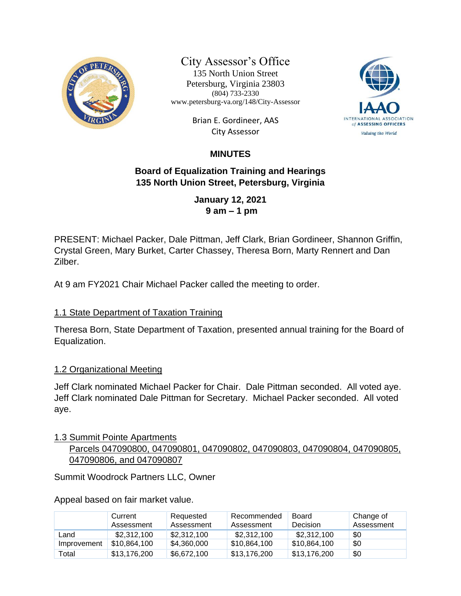

City Assessor's Office

135 North Union Street Petersburg, Virginia 23803 (804) 733-2330 www.petersburg-va.org/148/City-Assessor

> Brian E. Gordineer, AAS City Assessor



# **MINUTES**

## **Board of Equalization Training and Hearings 135 North Union Street, Petersburg, Virginia**

**January 12, 2021 9 am – 1 pm**

PRESENT: Michael Packer, Dale Pittman, Jeff Clark, Brian Gordineer, Shannon Griffin, Crystal Green, Mary Burket, Carter Chassey, Theresa Born, Marty Rennert and Dan Zilber.

At 9 am FY2021 Chair Michael Packer called the meeting to order.

## 1.1 State Department of Taxation Training

Theresa Born, State Department of Taxation, presented annual training for the Board of Equalization.

### 1.2 Organizational Meeting

Jeff Clark nominated Michael Packer for Chair. Dale Pittman seconded. All voted aye. Jeff Clark nominated Dale Pittman for Secretary. Michael Packer seconded. All voted aye.

### 1.3 Summit Pointe Apartments

 Parcels 047090800, 047090801, 047090802, 047090803, 047090804, 047090805, 047090806, and 047090807

Summit Woodrock Partners LLC, Owner

Appeal based on fair market value.

|             | Current<br>Assessment | Requested<br>Assessment | Recommended<br>Assessment | Board<br>Decision | Change of<br>Assessment |
|-------------|-----------------------|-------------------------|---------------------------|-------------------|-------------------------|
| Land        | \$2,312,100           | \$2.312.100             | \$2,312,100               | \$2,312,100       | \$0                     |
| Improvement | \$10,864,100          | \$4,360,000             | \$10,864,100              | \$10,864,100      | \$0                     |
| Total       | \$13,176,200          | \$6,672,100             | \$13,176,200              | \$13,176,200      | \$0                     |